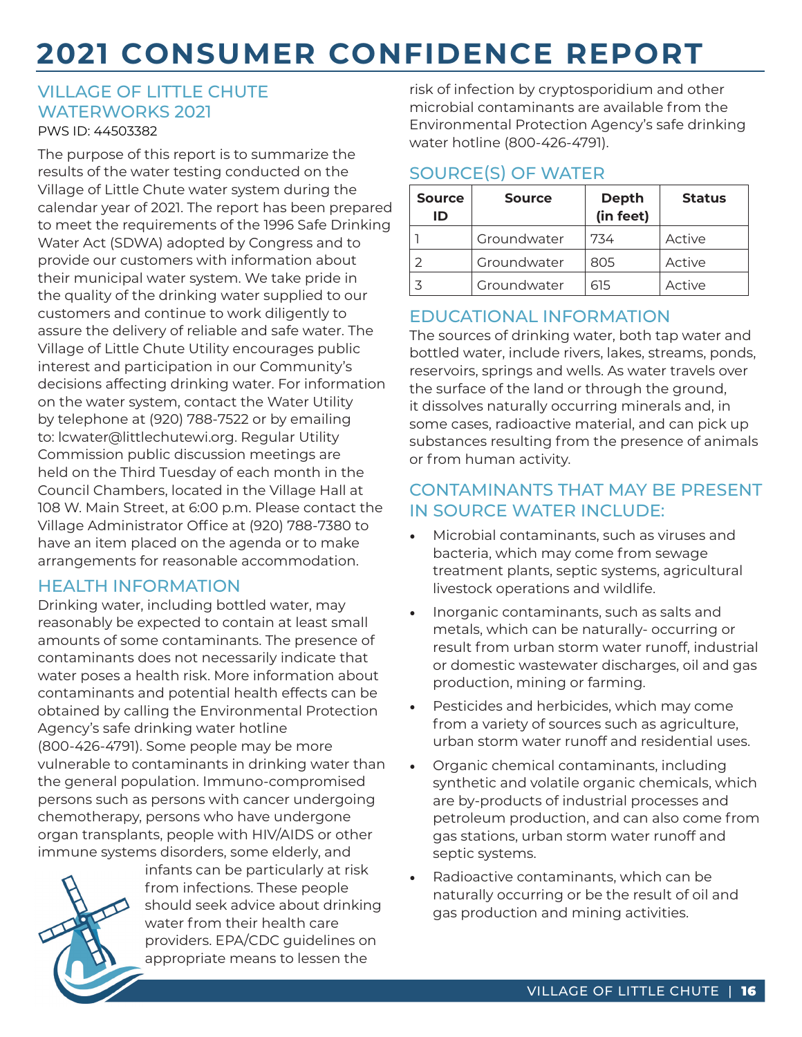# **2021 CONSUMER CONFIDENCE REPORT**

# VILLAGE OF LITTLE CHUTE WATERWORKS 2021

PWS ID: 44503382

The purpose of this report is to summarize the results of the water testing conducted on the Village of Little Chute water system during the calendar year of 2021. The report has been prepared to meet the requirements of the 1996 Safe Drinking Water Act (SDWA) adopted by Congress and to provide our customers with information about their municipal water system. We take pride in the quality of the drinking water supplied to our customers and continue to work diligently to assure the delivery of reliable and safe water. The Village of Little Chute Utility encourages public interest and participation in our Community's decisions affecting drinking water. For information on the water system, contact the Water Utility by telephone at (920) 788-7522 or by emailing to: lcwater@littlechutewi.org. Regular Utility Commission public discussion meetings are held on the Third Tuesday of each month in the Council Chambers, located in the Village Hall at 108 W. Main Street, at 6:00 p.m. Please contact the Village Administrator Office at (920) 788-7380 to have an item placed on the agenda or to make arrangements for reasonable accommodation.

## HEALTH INFORMATION

Drinking water, including bottled water, may reasonably be expected to contain at least small amounts of some contaminants. The presence of contaminants does not necessarily indicate that water poses a health risk. More information about contaminants and potential health effects can be obtained by calling the Environmental Protection Agency's safe drinking water hotline (800-426-4791). Some people may be more vulnerable to contaminants in drinking water than the general population. Immuno-compromised persons such as persons with cancer undergoing chemotherapy, persons who have undergone organ transplants, people with HIV/AIDS or other immune systems disorders, some elderly, and



infants can be particularly at risk from infections. These people should seek advice about drinking water from their health care providers. EPA/CDC guidelines on appropriate means to lessen the

risk of infection by cryptosporidium and other microbial contaminants are available from the Environmental Protection Agency's safe drinking water hotline (800-426-4791).

# SOURCE(S) OF WATER

| <b>Source</b><br>ID | <b>Source</b> | <b>Depth</b><br>(in feet) | <b>Status</b> |
|---------------------|---------------|---------------------------|---------------|
|                     | Groundwater   | 734                       | Active        |
|                     | Groundwater   | 805                       | Active        |
|                     | Groundwater   | 615                       | Active        |

EDUCATIONAL INFORMATION

The sources of drinking water, both tap water and bottled water, include rivers, lakes, streams, ponds, reservoirs, springs and wells. As water travels over the surface of the land or through the ground, it dissolves naturally occurring minerals and, in some cases, radioactive material, and can pick up substances resulting from the presence of animals or from human activity.

# CONTAMINANTS THAT MAY BE PRESENT IN SOURCE WATER INCLUDE:

- Microbial contaminants, such as viruses and bacteria, which may come from sewage treatment plants, septic systems, agricultural livestock operations and wildlife.
- Inorganic contaminants, such as salts and metals, which can be naturally- occurring or result from urban storm water runoff, industrial or domestic wastewater discharges, oil and gas production, mining or farming.
- Pesticides and herbicides, which may come from a variety of sources such as agriculture, urban storm water runoff and residential uses.
- Organic chemical contaminants, including synthetic and volatile organic chemicals, which are by-products of industrial processes and petroleum production, and can also come from gas stations, urban storm water runoff and septic systems.
- Radioactive contaminants, which can be naturally occurring or be the result of oil and gas production and mining activities.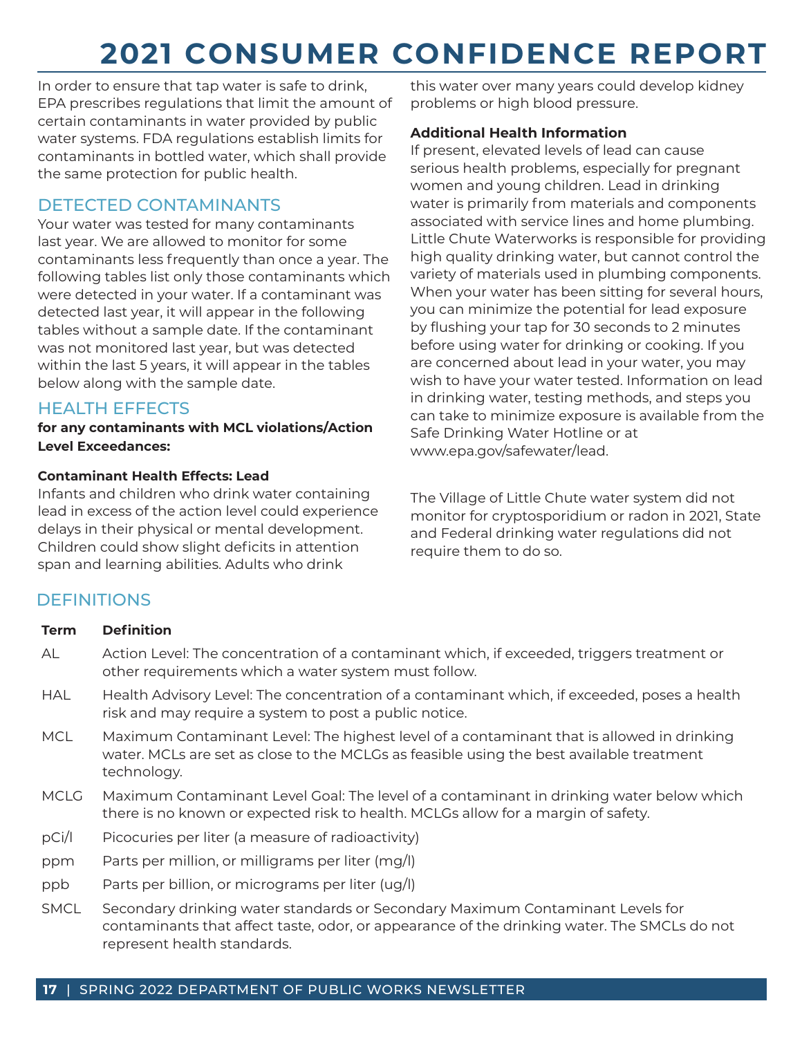# **2021 CONSUMER CONFIDENCE REPORT**

In order to ensure that tap water is safe to drink, EPA prescribes regulations that limit the amount of certain contaminants in water provided by public water systems. FDA regulations establish limits for contaminants in bottled water, which shall provide the same protection for public health.

### DETECTED CONTAMINANTS

Your water was tested for many contaminants last year. We are allowed to monitor for some contaminants less frequently than once a year. The following tables list only those contaminants which were detected in your water. If a contaminant was detected last year, it will appear in the following tables without a sample date. If the contaminant was not monitored last year, but was detected within the last 5 years, it will appear in the tables below along with the sample date.

## HEALTH EFFECTS

**for any contaminants with MCL violations/Action Level Exceedances:**

#### **Contaminant Health Effects: Lead**

Infants and children who drink water containing lead in excess of the action level could experience delays in their physical or mental development. Children could show slight deficits in attention span and learning abilities. Adults who drink

represent health standards.

this water over many years could develop kidney problems or high blood pressure.

#### **Additional Health Information**

If present, elevated levels of lead can cause serious health problems, especially for pregnant women and young children. Lead in drinking water is primarily from materials and components associated with service lines and home plumbing. Little Chute Waterworks is responsible for providing high quality drinking water, but cannot control the variety of materials used in plumbing components. When your water has been sitting for several hours, you can minimize the potential for lead exposure by flushing your tap for 30 seconds to 2 minutes before using water for drinking or cooking. If you are concerned about lead in your water, you may wish to have your water tested. Information on lead in drinking water, testing methods, and steps you can take to minimize exposure is available from the Safe Drinking Water Hotline or at www.epa.gov/safewater/lead.

The Village of Little Chute water system did not monitor for cryptosporidium or radon in 2021, State and Federal drinking water regulations did not require them to do so.

# **DEFINITIONS**

| Term        | <b>Definition</b>                                                                                                                                                                                    |
|-------------|------------------------------------------------------------------------------------------------------------------------------------------------------------------------------------------------------|
| AL          | Action Level: The concentration of a contaminant which, if exceeded, triggers treatment or<br>other requirements which a water system must follow.                                                   |
| <b>HAL</b>  | Health Advisory Level: The concentration of a contaminant which, if exceeded, poses a health<br>risk and may require a system to post a public notice.                                               |
| MCL         | Maximum Contaminant Level: The highest level of a contaminant that is allowed in drinking<br>water. MCLs are set as close to the MCLGs as feasible using the best available treatment<br>technology. |
| MCLG        | Maximum Contaminant Level Goal: The level of a contaminant in drinking water below which<br>there is no known or expected risk to health. MCLGs allow for a margin of safety.                        |
| pCi/I       | Picocuries per liter (a measure of radioactivity)                                                                                                                                                    |
| ppm         | Parts per million, or milligrams per liter (mg/l)                                                                                                                                                    |
| ppb         | Parts per billion, or micrograms per liter (ug/l)                                                                                                                                                    |
| <b>SMCL</b> | Secondary drinking water standards or Secondary Maximum Contaminant Levels for<br>contaminants that affect taste, odor, or appearance of the drinking water. The SMCLs do not                        |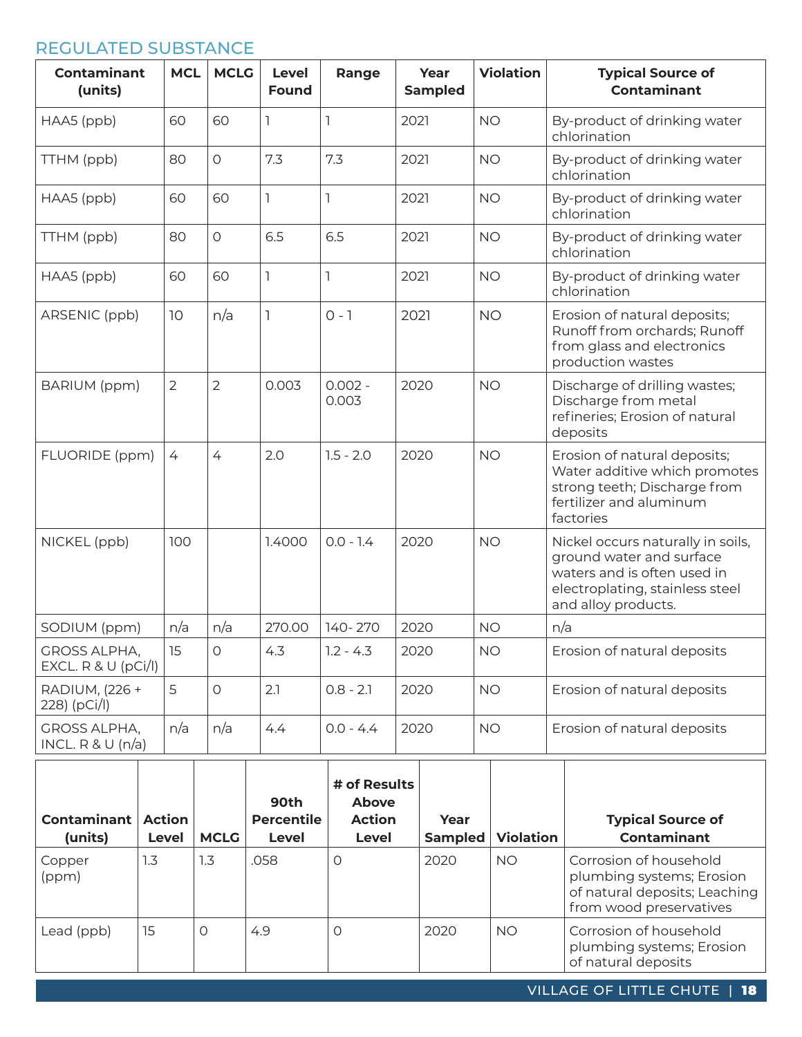## REGULATED SUBSTANCE

| <b>Contaminant</b><br>(units)              | <b>MCL</b>     | <b>MCLG</b>    | Level<br><b>Found</b> | Range              | Year<br><b>Sampled</b> | <b>Violation</b> | <b>Typical Source of</b><br><b>Contaminant</b>                                                                                                         |
|--------------------------------------------|----------------|----------------|-----------------------|--------------------|------------------------|------------------|--------------------------------------------------------------------------------------------------------------------------------------------------------|
| HAA5 (ppb)                                 | 60             | 60             |                       |                    | 2021                   | <b>NO</b>        | By-product of drinking water<br>chlorination                                                                                                           |
| TTHM (ppb)                                 | 80             | $\circ$        | 7.3                   | 7.3                | 2021                   | <b>NO</b>        | By-product of drinking water<br>chlorination                                                                                                           |
| HAA5 (ppb)                                 | 60             | 60             |                       | 1                  | 2021                   | <b>NO</b>        | By-product of drinking water<br>chlorination                                                                                                           |
| TTHM (ppb)                                 | 80             | $\circ$        | 6.5                   | 6.5                | 2021                   | <b>NO</b>        | By-product of drinking water<br>chlorination                                                                                                           |
| HAA5 (ppb)                                 | 60             | 60             | ı                     | ı                  | 2021                   | <b>NO</b>        | By-product of drinking water<br>chlorination                                                                                                           |
| ARSENIC (ppb)                              | 10             | n/a            | 1                     | $O - 1$            | 2021                   | <b>NO</b>        | Erosion of natural deposits;<br>Runoff from orchards; Runoff<br>from glass and electronics<br>production wastes                                        |
| BARIUM (ppm)                               | $\overline{2}$ | $\overline{2}$ | 0.003                 | $0.002 -$<br>0.003 | 2020                   | <b>NO</b>        | Discharge of drilling wastes;<br>Discharge from metal<br>refineries; Erosion of natural<br>deposits                                                    |
| FLUORIDE (ppm)                             | 4              | $\overline{4}$ | 2.0                   | $1.5 - 2.0$        | 2020                   | <b>NO</b>        | Erosion of natural deposits;<br>Water additive which promotes<br>strong teeth; Discharge from<br>fertilizer and aluminum<br>factories                  |
| NICKEL (ppb)                               | 100            |                | 1.4000                | $0.0 - 1.4$        | 2020                   | <b>NO</b>        | Nickel occurs naturally in soils,<br>ground water and surface<br>waters and is often used in<br>electroplating, stainless steel<br>and alloy products. |
| SODIUM (ppm)                               | n/a            | n/a            | 270.00                | 140-270            | 2020                   | <b>NO</b>        | n/a                                                                                                                                                    |
| <b>GROSS ALPHA,</b><br>EXCL. R & U (pCi/l) | 15             | 0              | 4.3                   | $1.2 - 4.3$        | 2020                   | <b>NO</b>        | Erosion of natural deposits                                                                                                                            |
| RADIUM, (226 +<br>228) (pCi/l)             | 5              | $\circ$        | 2.1                   | $0.8 - 2.1$        | 2020                   | <b>NO</b>        | Erosion of natural deposits                                                                                                                            |
| <b>GROSS ALPHA,</b><br>INCL. $R \& U(n/a)$ | n/a            | n/a            | 4.4                   | $0.0 - 4.4$        | 2020                   | <b>NO</b>        | Erosion of natural deposits                                                                                                                            |
|                                            |                |                |                       |                    |                        |                  |                                                                                                                                                        |

| <b>Contaminant</b><br>(units) | <b>Action</b><br>Level | <b>MCLG</b> | 90th<br><b>Percentile</b><br>Level | # of Results<br>Above<br><b>Action</b><br>Level | Year<br><b>Sampled</b> | <b>Violation</b> | <b>Typical Source of</b><br><b>Contaminant</b>                                                                  |
|-------------------------------|------------------------|-------------|------------------------------------|-------------------------------------------------|------------------------|------------------|-----------------------------------------------------------------------------------------------------------------|
| Copper<br>(ppm)               | 1.3                    | 1.3         | .058                               | O                                               | 2020                   | <b>NO</b>        | Corrosion of household<br>plumbing systems; Erosion<br>of natural deposits; Leaching<br>from wood preservatives |
| Lead (ppb)                    | 15                     | 0           | 4.9                                |                                                 | 2020                   | <b>NO</b>        | Corrosion of household<br>plumbing systems; Erosion<br>of natural deposits                                      |